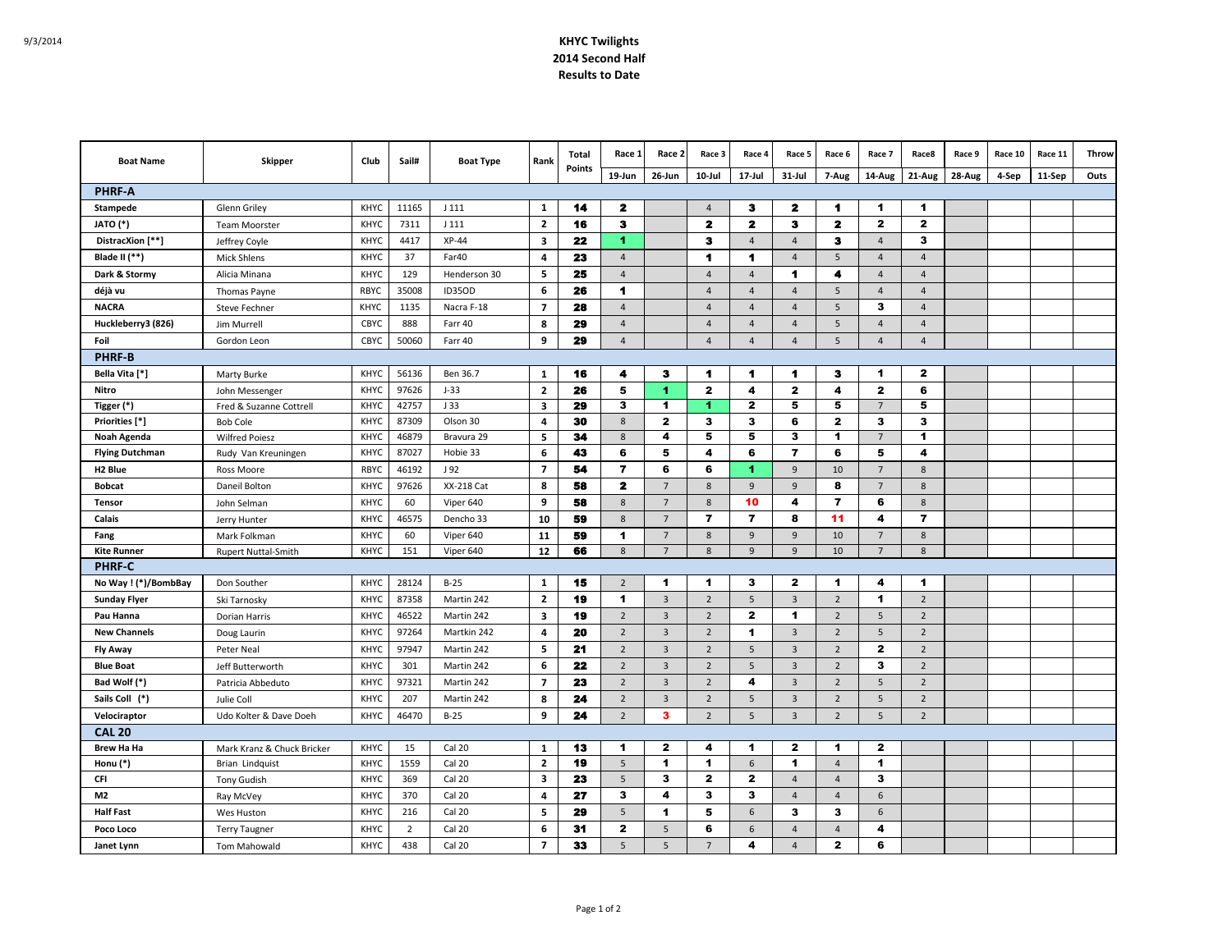## 9/3/2014 **KHYC Twilights 2014 Second Half Results to Date**

| <b>Boat Name</b>       | Skipper                    | Club        | Sail#          | <b>Boat Type</b>  | Rank                    | Total<br>Points | Race 1               | Race 2                  | Race 3         | Race 4                  | Race 5               | Race 6                  | Race 7               | Race8          | Race 9 | Race 10 | Race 11 | Throw |
|------------------------|----------------------------|-------------|----------------|-------------------|-------------------------|-----------------|----------------------|-------------------------|----------------|-------------------------|----------------------|-------------------------|----------------------|----------------|--------|---------|---------|-------|
|                        |                            |             |                |                   |                         |                 | 19-Jun               | 26-Jun                  | 10-Jul         | 17-Jul                  | $31 -$ Jul           | 7-Aug                   | 14-Aug               | 21-Aug         | 28-Aug | 4-Sep   | 11-Sep  | Outs  |
| <b>PHRF-A</b>          |                            |             |                |                   |                         |                 |                      |                         |                |                         |                      |                         |                      |                |        |         |         |       |
| Stampede               | Glenn Griley               | <b>KHYC</b> | 11165          | J 111             | $\mathbf{1}$            | 14              | 2                    |                         | $\overline{a}$ | 3                       | $\mathbf{z}$         | 1                       | $\mathbf 1$          | 1              |        |         |         |       |
| JATO (*)               | <b>Team Moorster</b>       | <b>KHYC</b> | 7311           | J 111             | $\overline{2}$          | 16              | 3                    |                         | 2              | $\mathbf{z}$            | з                    | 2                       | $\mathbf{2}$         | $\mathbf{2}$   |        |         |         |       |
| DistracXion [**]       | Jeffrey Coyle              | <b>KHYC</b> | 4417           | $XP-44$           | $\overline{\mathbf{3}}$ | 22              | 1                    |                         | з              | $\overline{4}$          | $\overline{4}$       | 3                       | $\overline{4}$       | 3              |        |         |         |       |
| Blade II (**)          | <b>Mick Shlens</b>         | <b>KHYC</b> | 37             | Far40             | $\overline{4}$          | 23              | $\overline{4}$       |                         | 1              | 1                       | $\overline{4}$       | 5                       | $\overline{4}$       | $\overline{4}$ |        |         |         |       |
| Dark & Stormy          | Alicia Minana              | <b>KHYC</b> | 129            | Henderson 30      | 5                       | 25              | $\overline{4}$       |                         | $\overline{4}$ | $\overline{4}$          | 1                    | 4                       | $\overline{4}$       | $\overline{4}$ |        |         |         |       |
| déjà vu                | Thomas Payne               | RBYC        | 35008          | <b>ID35OD</b>     | 6                       | 26              | 1                    |                         | $\overline{4}$ | $\overline{4}$          | $\overline{4}$       | 5                       | $\overline{4}$       | $\overline{4}$ |        |         |         |       |
| <b>NACRA</b>           | <b>Steve Fechner</b>       | KHYC        | 1135           | Nacra F-18        | $\overline{7}$          | 28              | $\overline{4}$       |                         | $\Delta$       | $\overline{4}$          | $\overline{4}$       | 5                       | 3                    | $\overline{4}$ |        |         |         |       |
| Huckleberry3 (826)     | Jim Murrell                | CBYC        | 888            | Farr 40           | 8                       | 29              | $\overline{4}$       |                         | $\overline{4}$ | $\overline{4}$          | $\overline{4}$       | 5                       | $\overline{4}$       | $\overline{4}$ |        |         |         |       |
| Foil                   | Gordon Leon                | CBYC        | 50060          | Farr 40           | 9                       | 29              | $\overline{4}$       |                         | $\overline{4}$ | $\overline{4}$          | $\overline{4}$       | 5                       | $\overline{4}$       | $\overline{4}$ |        |         |         |       |
| <b>PHRF-B</b>          |                            |             |                |                   |                         |                 |                      |                         |                |                         |                      |                         |                      |                |        |         |         |       |
| Bella Vita [*]         | Marty Burke                | KHYC        | 56136          | Ben 36.7          | 1                       | 16              | 4                    | 3                       | 1              | 1                       | 1                    | з                       | $\mathbf 1$          | $\mathbf{z}$   |        |         |         |       |
| Nitro                  | John Messenger             | <b>KHYC</b> | 97626          | $J-33$            | $\mathbf{2}$            | 26              | 5                    | $\blacktriangleleft$    | $\mathbf{z}$   | 4                       | $\mathbf{z}$         | 4                       | $\mathbf{z}$         | 6              |        |         |         |       |
| Tigger (*)             | Fred & Suzanne Cottrell    | KHYC        | 42757          | J 33              | 3                       | 29              | 3                    | $\mathbf{1}$            | 1              | $\mathbf{2}$            | 5                    | 5                       | 7                    | 5              |        |         |         |       |
| Priorities [*]         | <b>Bob Cole</b>            | <b>KHYC</b> | 87309          | Olson 30          | $\overline{a}$          | 30              | 8                    | $\overline{2}$          | 3              | $\overline{\mathbf{3}}$ | 6                    | $\mathbf{2}$            | 3                    | 3              |        |         |         |       |
| Noah Agenda            | <b>Wilfred Poiesz</b>      | <b>KHYC</b> | 46879          | Bravura 29        | 5                       | 34              | 8                    | $\overline{\bf{4}}$     | 5              | 5                       | 3                    | $\blacktriangleleft$    | $\overline{7}$       | 1              |        |         |         |       |
| <b>Flying Dutchman</b> | Rudy Van Kreuningen        | <b>KHYC</b> | 87027          | Hobie 33          | 6                       | 43              | 6                    | 5                       | 4              | 6                       | $\overline{7}$       | 6                       | 5                    | 4              |        |         |         |       |
| H <sub>2</sub> Blue    | Ross Moore                 | <b>RBYC</b> | 46192          | J 92              | $\overline{7}$          | 54              | $\overline{7}$       | 6                       | 6              | $\blacktriangleleft$    | 9                    | 10                      | $7\overline{ }$      | 8              |        |         |         |       |
| <b>Bobcat</b>          | Daneil Bolton              | <b>KHYC</b> | 97626          | <b>XX-218 Cat</b> | 8                       | 58              | $\mathbf{z}$         | $7\overline{ }$         | 8              | 9                       | 9                    | 8                       | $7\overline{ }$      | 8              |        |         |         |       |
| Tensor                 | John Selman                | <b>KHYC</b> | 60             | Viper 640         | 9                       | 58              | 8                    | $7\overline{ }$         | 8              | 10                      | 4                    | $\overline{\mathbf{r}}$ | 6                    | 8              |        |         |         |       |
| Calais                 | Jerry Hunter               | <b>KHYC</b> | 46575          | Dencho 33         | 10                      | 59              | 8                    | $\overline{7}$          | $\overline{7}$ | $\overline{7}$          | 8                    | 11                      | 4                    | $\overline{7}$ |        |         |         |       |
| Fang                   | Mark Folkman               | <b>KHYC</b> | 60             | Viper 640         | 11                      | 59              | $\mathbf{1}$         | $7^{\circ}$             | 8              | $\overline{9}$          | $\overline{9}$       | 10                      | 7                    | 8              |        |         |         |       |
| <b>Kite Runner</b>     | Rupert Nuttal-Smith        | <b>KHYC</b> | 151            | Viper 640         | 12                      | 66              | 8                    | 7                       | 8              | 9                       | 9                    | 10                      | 7                    | 8              |        |         |         |       |
| <b>PHRF-C</b>          |                            |             |                |                   |                         |                 |                      |                         |                |                         |                      |                         |                      |                |        |         |         |       |
| No Way ! (*)/BombBay   | Don Souther                | <b>KHYC</b> | 28124          | $B-25$            | 1                       | 15              | $\overline{2}$       | $\blacktriangleleft$    | 1              | 3                       | $\mathbf{2}$         | 1                       | 4                    | $\mathbf 1$    |        |         |         |       |
| <b>Sunday Flyer</b>    | Ski Tarnosky               | KHYC        | 87358          | Martin 242        | $\overline{2}$          | 19              | $\blacktriangleleft$ | $\overline{\mathbf{3}}$ | $\overline{2}$ | 5                       | $\overline{3}$       | $\overline{2}$          | $\blacktriangleleft$ | $\overline{2}$ |        |         |         |       |
| Pau Hanna              | Dorian Harris              | KHYC        | 46522          | Martin 242        | $\overline{\mathbf{3}}$ | 19              | $\overline{2}$       | $\overline{3}$          | $\overline{2}$ | $\mathbf{2}$            | $\blacktriangleleft$ | $\overline{2}$          | 5                    | $\overline{2}$ |        |         |         |       |
| <b>New Channels</b>    | Doug Laurin                | KHYC        | 97264          | Martkin 242       | $\overline{a}$          | 20              | $\overline{2}$       | $\overline{3}$          | $\overline{2}$ | $\blacktriangleleft$    | $\overline{3}$       | $\overline{2}$          | 5                    | $\overline{2}$ |        |         |         |       |
| <b>Fly Away</b>        | Peter Neal                 | <b>KHYC</b> | 97947          | Martin 242        | 5                       | 21              | $\overline{2}$       | $\overline{\mathbf{3}}$ | $\overline{2}$ | 5                       | $\overline{3}$       | $\overline{2}$          | $\mathbf{2}$         | $\overline{2}$ |        |         |         |       |
| <b>Blue Boat</b>       | Jeff Butterworth           | <b>KHYC</b> | 301            | Martin 242        | 6                       | 22              | $\overline{2}$       | $\overline{\mathbf{3}}$ | $\overline{2}$ | 5                       | 3                    | $\overline{2}$          | $\mathbf{3}$         | $\overline{2}$ |        |         |         |       |
| Bad Wolf (*)           | Patricia Abbeduto          | <b>KHYC</b> | 97321          | Martin 242        | $\overline{7}$          | 23              | $\overline{2}$       | $\overline{3}$          | $\overline{2}$ | 4                       | $\overline{3}$       | $\overline{2}$          | 5                    | $\overline{2}$ |        |         |         |       |
| Sails Coll (*)         | Julie Coll                 | <b>KHYC</b> | 207            | Martin 242        | 8                       | 24              | $\overline{2}$       | $\overline{3}$          | $\overline{2}$ | 5                       | 3                    | $\overline{2}$          | 5                    | $\overline{2}$ |        |         |         |       |
| Velociraptor           | Udo Kolter & Dave Doeh     | <b>KHYC</b> | 46470          | $B-25$            | 9                       | 24              | $\overline{2}$       | 3                       | $\overline{2}$ | 5                       | 3                    | $\overline{2}$          | 5                    | $\overline{2}$ |        |         |         |       |
| <b>CAL 20</b>          |                            |             |                |                   |                         |                 |                      |                         |                |                         |                      |                         |                      |                |        |         |         |       |
| <b>Brew Ha Ha</b>      | Mark Kranz & Chuck Bricker | KHYC        | 15             | Cal 20            | 1                       | 13              | 1                    | $\mathbf{z}$            | 4              | 1.                      | $\mathbf{2}$         | 1                       | $\mathbf{2}$         |                |        |         |         |       |
| Honu (*)               | Brian Lindquist            | KHYC        | 1559           | Cal 20            | $\overline{2}$          | 19              | 5                    | $\mathbf{1}$            | 1              | 6                       | 1                    | $\overline{4}$          | $\mathbf 1$          |                |        |         |         |       |
| CFI                    | <b>Tony Gudish</b>         | <b>KHYC</b> | 369            | Cal 20            | $\overline{\mathbf{3}}$ | 23              | 5                    | $\mathbf{3}$            | $\mathbf{z}$   | $\mathbf{2}$            | $\overline{4}$       | $\overline{4}$          | 3                    |                |        |         |         |       |
| M2                     | Ray McVey                  | <b>KHYC</b> | 370            | Cal 20            | $\pmb{4}$               | 27              | 3                    | $\overline{\mathbf{4}}$ | 3              | 3                       | $\overline{4}$       | $\overline{4}$          | 6                    |                |        |         |         |       |
| <b>Half Fast</b>       | Wes Huston                 | <b>KHYC</b> | 216            | Cal 20            | 5                       | 29              | 5                    | $\blacktriangleleft$    | 5              | 6                       | 3                    | 3                       | 6                    |                |        |         |         |       |
| Poco Loco              | <b>Terry Taugner</b>       | <b>KHYC</b> | $\overline{2}$ | Cal 20            | 6                       | 31              | $\mathbf{2}$         | 5                       | 6              | 6                       | $\overline{4}$       | $\overline{4}$          | 4                    |                |        |         |         |       |
| Janet Lynn             | Tom Mahowald               | <b>KHYC</b> | 438            | Cal 20            | $\overline{7}$          | 33              | 5                    | 5                       | $\overline{7}$ | 4                       | $\overline{4}$       | $\mathbf{2}$            | 6                    |                |        |         |         |       |